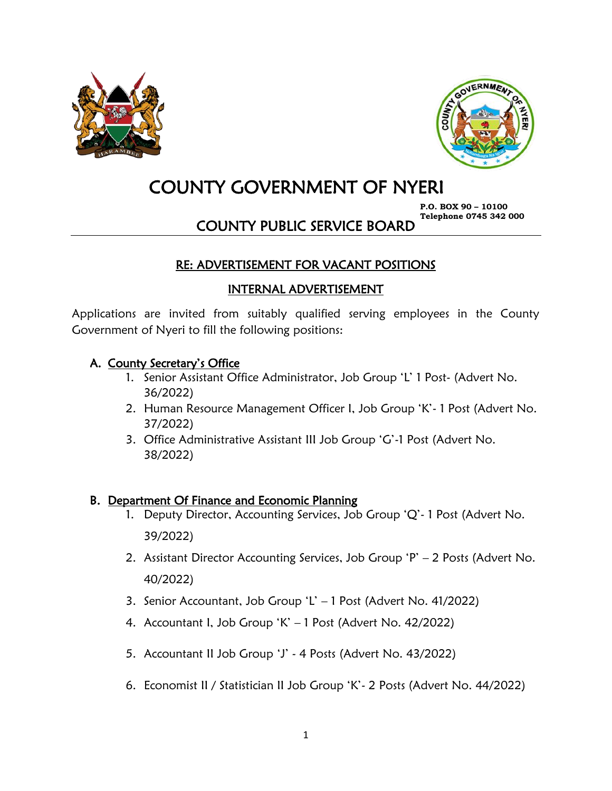



# COUNTY GOVERNMENT OF NYERI

**P.O. BOX 90 – 10100 Telephone 0745 342 000**

COUNTY PUBLIC SERVICE BOARD

# RE: ADVERTISEMENT FOR VACANT POSITIONS

#### INTERNAL ADVERTISEMENT

Applications are invited from suitably qualified serving employees in the County Government of Nyeri to fill the following positions:

#### A. County Secretary's Office

- 1. Senior Assistant Office Administrator, Job Group 'L' 1 Post- (Advert No. 36/2022)
- 2. Human Resource Management Officer I, Job Group 'K'- 1 Post (Advert No. 37/2022)
- 3. Office Administrative Assistant III Job Group 'G'-1 Post (Advert No. 38/2022)

#### B. Department Of Finance and Economic Planning

- 1. Deputy Director, Accounting Services, Job Group 'Q'- 1 Post (Advert No. 39/2022)
- 2. Assistant Director Accounting Services, Job Group 'P' 2 Posts (Advert No. 40/2022)
- 3. Senior Accountant, Job Group 'L' 1 Post (Advert No. 41/2022)
- 4. Accountant I, Job Group 'K' 1 Post (Advert No. 42/2022)
- 5. Accountant II Job Group 'J' 4 Posts (Advert No. 43/2022)
- 6. Economist II / Statistician II Job Group 'K'- 2 Posts (Advert No. 44/2022)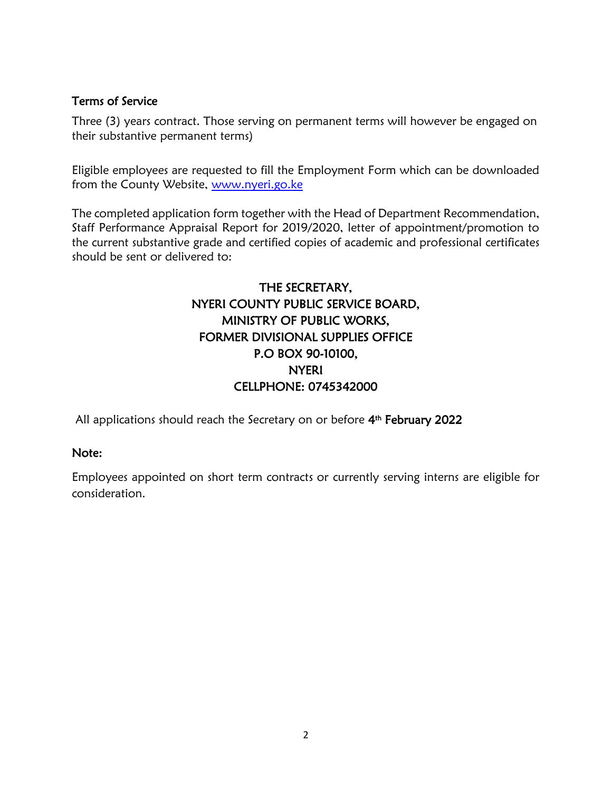#### Terms of Service

Three (3) years contract. Those serving on permanent terms will however be engaged on their substantive permanent terms)

Eligible employees are requested to fill the Employment Form which can be downloaded from the County Website, [www.nyeri.go.ke](http://www.nyeri.go.ke/)

The completed application form together with the Head of Department Recommendation, Staff Performance Appraisal Report for 2019/2020, letter of appointment/promotion to the current substantive grade and certified copies of academic and professional certificates should be sent or delivered to:

# THE SECRETARY, NYERI COUNTY PUBLIC SERVICE BOARD, MINISTRY OF PUBLIC WORKS, FORMER DIVISIONAL SUPPLIES OFFICE P.O BOX 90-10100, NYERI CELLPHONE: 0745342000

All applications should reach the Secretary on or before 4<sup>th</sup> February 2022

#### Note:

Employees appointed on short term contracts or currently serving interns are eligible for consideration.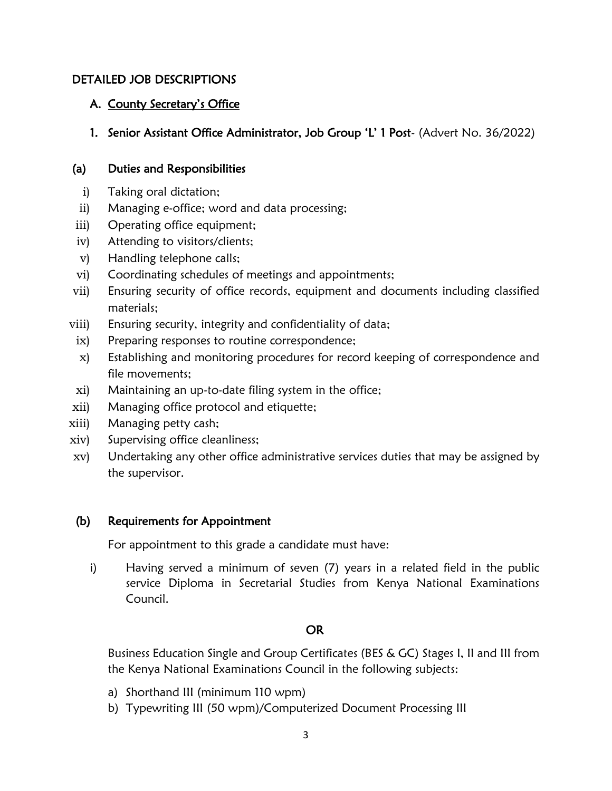#### DETAILED JOB DESCRIPTIONS

#### A. County Secretary's Office

#### 1. Senior Assistant Office Administrator, Job Group 'L' 1 Post- (Advert No. 36/2022)

#### (a) Duties and Responsibilities

- i) Taking oral dictation;
- ii) Managing e-office; word and data processing;
- iii) Operating office equipment;
- iv) Attending to visitors/clients;
- v) Handling telephone calls;
- vi) Coordinating schedules of meetings and appointments;
- vii) Ensuring security of office records, equipment and documents including classified materials;
- viii) Ensuring security, integrity and confidentiality of data;
- ix) Preparing responses to routine correspondence;
- x) Establishing and monitoring procedures for record keeping of correspondence and file movements;
- xi) Maintaining an up-to-date filing system in the office;
- xii) Managing office protocol and etiquette;
- xiii) Managing petty cash;
- xiv) Supervising office cleanliness;
- xv) Undertaking any other office administrative services duties that may be assigned by the supervisor.

#### (b) Requirements for Appointment

For appointment to this grade a candidate must have:

i) Having served a minimum of seven (7) years in a related field in the public service Diploma in Secretarial Studies from Kenya National Examinations Council.

#### OR

Business Education Single and Group Certificates (BES & GC) Stages I, II and III from the Kenya National Examinations Council in the following subjects:

- a) Shorthand III (minimum 110 wpm)
- b) Typewriting III (50 wpm)/Computerized Document Processing III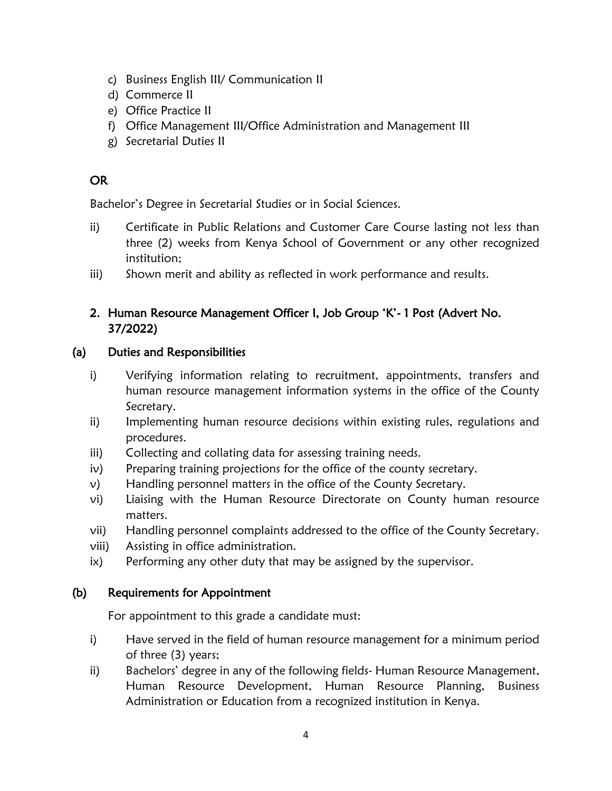- c) Business English III/ Communication II
- d) Commerce II
- e) Office Practice II
- f) Office Management III/Office Administration and Management III
- g) Secretarial Duties II

## OR

Bachelor's Degree in Secretarial Studies or in Social Sciences.

- ii) Certificate in Public Relations and Customer Care Course lasting not less than three (2) weeks from Kenya School of Government or any other recognized institution;
- iii) Shown merit and ability as reflected in work performance and results.

## 2. Human Resource Management Officer I, Job Group 'K'- 1 Post (Advert No. 37/2022)

#### (a) Duties and Responsibilities

- i) Verifying information relating to recruitment, appointments, transfers and human resource management information systems in the office of the County Secretary.
- ii) Implementing human resource decisions within existing rules, regulations and procedures.
- iii) Collecting and collating data for assessing training needs.
- iv) Preparing training projections for the office of the county secretary.
- v) Handling personnel matters in the office of the County Secretary.
- vi) Liaising with the Human Resource Directorate on County human resource matters.
- vii) Handling personnel complaints addressed to the office of the County Secretary.
- viii) Assisting in office administration.
- ix) Performing any other duty that may be assigned by the supervisor.

#### (b) Requirements for Appointment

For appointment to this grade a candidate must:

- i) Have served in the field of human resource management for a minimum period of three (3) years;
- ii) Bachelors' degree in any of the following fields- Human Resource Management, Human Resource Development, Human Resource Planning, Business Administration or Education from a recognized institution in Kenya.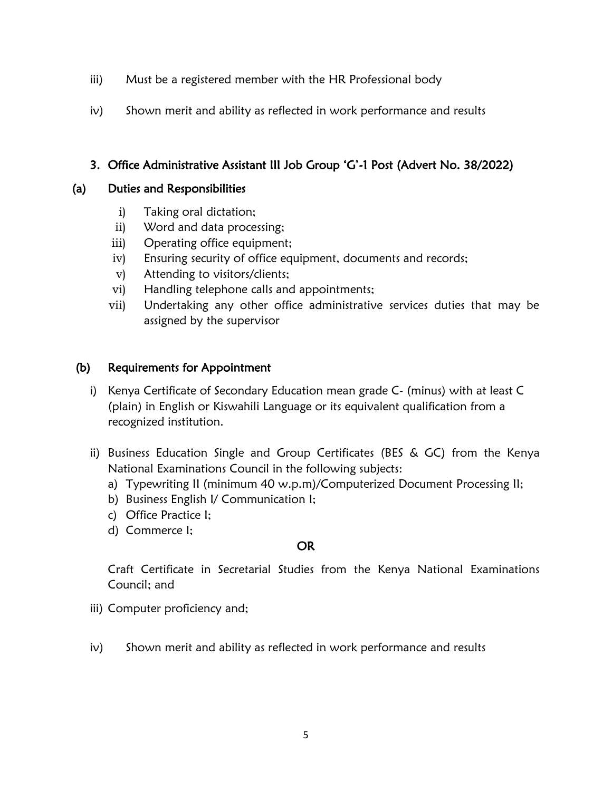- iii) Must be a registered member with the HR Professional body
- iv) Shown merit and ability as reflected in work performance and results

## 3. Office Administrative Assistant III Job Group 'G'-1 Post (Advert No. 38/2022)

#### (a) Duties and Responsibilities

- i) Taking oral dictation;
- ii) Word and data processing;
- iii) Operating office equipment;
- iv) Ensuring security of office equipment, documents and records;
- v) Attending to visitors/clients;
- vi) Handling telephone calls and appointments;
- vii) Undertaking any other office administrative services duties that may be assigned by the supervisor

#### (b) Requirements for Appointment

- i) Kenya Certificate of Secondary Education mean grade C- (minus) with at least C (plain) in English or Kiswahili Language or its equivalent qualification from a recognized institution.
- ii) Business Education Single and Group Certificates (BES & GC) from the Kenya National Examinations Council in the following subjects:
	- a) Typewriting II (minimum 40 w.p.m)/Computerized Document Processing II;
	- b) Business English I/ Communication I;
	- c) Office Practice I;
	- d) Commerce I;

#### OR

Craft Certificate in Secretarial Studies from the Kenya National Examinations Council; and

- iii) Computer proficiency and;
- iv) Shown merit and ability as reflected in work performance and results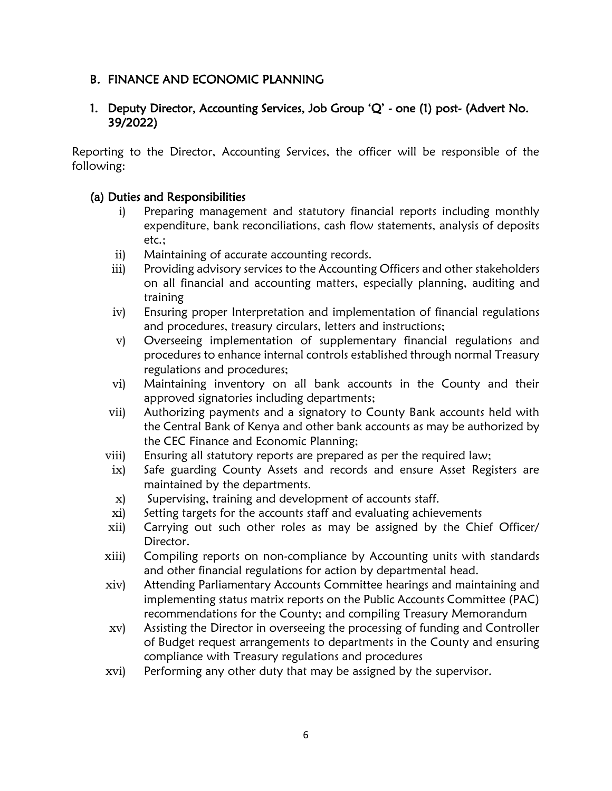#### B. FINANCE AND ECONOMIC PLANNING

#### 1. Deputy Director, Accounting Services, Job Group 'Q' - one (1) post- (Advert No. 39/2022)

Reporting to the Director, Accounting Services, the officer will be responsible of the following:

#### (a) Duties and Responsibilities

- i) Preparing management and statutory financial reports including monthly expenditure, bank reconciliations, cash flow statements, analysis of deposits etc.;
- ii) Maintaining of accurate accounting records.
- iii) Providing advisory services to the Accounting Officers and other stakeholders on all financial and accounting matters, especially planning, auditing and training
- iv) Ensuring proper Interpretation and implementation of financial regulations and procedures, treasury circulars, letters and instructions;
- v) Overseeing implementation of supplementary financial regulations and procedures to enhance internal controls established through normal Treasury regulations and procedures;
- vi) Maintaining inventory on all bank accounts in the County and their approved signatories including departments;
- vii) Authorizing payments and a signatory to County Bank accounts held with the Central Bank of Kenya and other bank accounts as may be authorized by the CEC Finance and Economic Planning;
- viii) Ensuring all statutory reports are prepared as per the required law;
- ix) Safe guarding County Assets and records and ensure Asset Registers are maintained by the departments.
- x) Supervising, training and development of accounts staff.
- xi) Setting targets for the accounts staff and evaluating achievements
- xii) Carrying out such other roles as may be assigned by the Chief Officer/ Director.
- xiii) Compiling reports on non-compliance by Accounting units with standards and other financial regulations for action by departmental head.
- xiv) Attending Parliamentary Accounts Committee hearings and maintaining and implementing status matrix reports on the Public Accounts Committee (PAC) recommendations for the County; and compiling Treasury Memorandum
- xv) Assisting the Director in overseeing the processing of funding and Controller of Budget request arrangements to departments in the County and ensuring compliance with Treasury regulations and procedures
- xvi) Performing any other duty that may be assigned by the supervisor.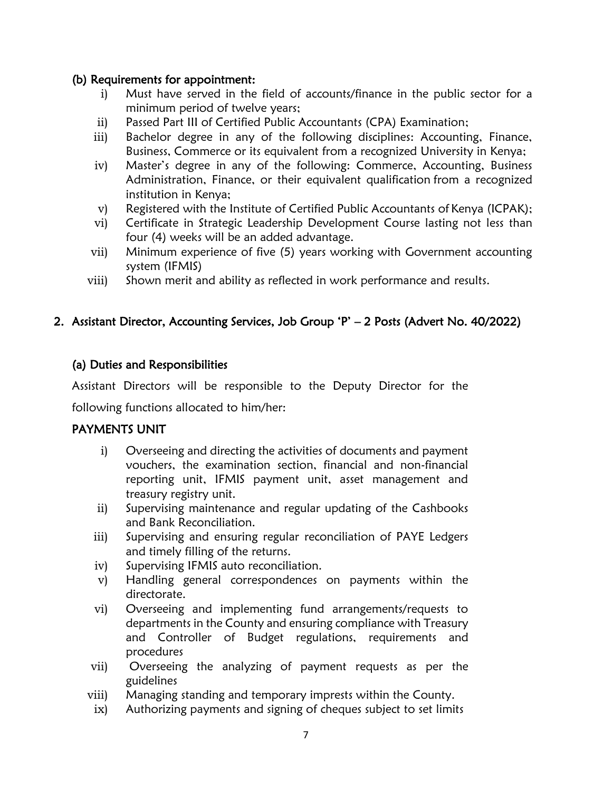#### (b) Requirements for appointment:

- i) Must have served in the field of accounts/finance in the public sector for a minimum period of twelve years;
- ii) Passed Part III of Certified Public Accountants (CPA) Examination;
- iii) Bachelor degree in any of the following disciplines: Accounting, Finance, Business, Commerce or its equivalent from a recognized University in Kenya;
- iv) Master's degree in any of the following: Commerce, Accounting, Business Administration, Finance, or their equivalent qualification from a recognized institution in Kenya;
- v) Registered with the Institute of Certified Public Accountants of Kenya (ICPAK);
- vi) Certificate in Strategic Leadership Development Course lasting not less than four (4) weeks will be an added advantage.
- vii) Minimum experience of five (5) years working with Government accounting system (IFMIS)
- viii) Shown merit and ability as reflected in work performance and results.

#### 2. Assistant Director, Accounting Services, Job Group 'P' – 2 Posts (Advert No. 40/2022)

#### (a) Duties and Responsibilities

Assistant Directors will be responsible to the Deputy Director for the

following functions allocated to him/her:

#### PAYMENTS UNIT

- i) Overseeing and directing the activities of documents and payment vouchers, the examination section, financial and non-financial reporting unit, IFMIS payment unit, asset management and treasury registry unit.
- ii) Supervising maintenance and regular updating of the Cashbooks and Bank Reconciliation.
- iii) Supervising and ensuring regular reconciliation of PAYE Ledgers and timely filling of the returns.
- iv) Supervising IFMIS auto reconciliation.
- v) Handling general correspondences on payments within the directorate.
- vi) Overseeing and implementing fund arrangements/requests to departments in the County and ensuring compliance with Treasury and Controller of Budget regulations, requirements and procedures
- vii) Overseeing the analyzing of payment requests as per the guidelines
- viii) Managing standing and temporary imprests within the County.
- ix) Authorizing payments and signing of cheques subject to set limits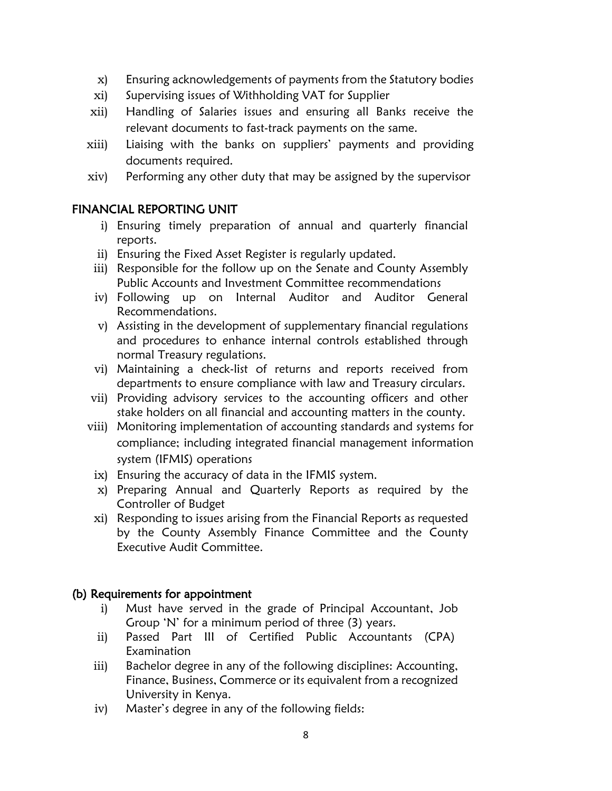- x) Ensuring acknowledgements of payments from the Statutory bodies
- xi) Supervising issues of Withholding VAT for Supplier
- xii) Handling of Salaries issues and ensuring all Banks receive the relevant documents to fast-track payments on the same.
- xiii) Liaising with the banks on suppliers' payments and providing documents required.
- xiv) Performing any other duty that may be assigned by the supervisor

#### FINANCIAL REPORTING UNIT

- i) Ensuring timely preparation of annual and quarterly financial reports.
- ii) Ensuring the Fixed Asset Register is regularly updated.
- iii) Responsible for the follow up on the Senate and County Assembly Public Accounts and Investment Committee recommendations
- iv) Following up on Internal Auditor and Auditor General Recommendations.
- v) Assisting in the development of supplementary financial regulations and procedures to enhance internal controls established through normal Treasury regulations.
- vi) Maintaining a check-list of returns and reports received from departments to ensure compliance with law and Treasury circulars.
- vii) Providing advisory services to the accounting officers and other stake holders on all financial and accounting matters in the county.
- viii) Monitoring implementation of accounting standards and systems for compliance; including integrated financial management information system (IFMIS) operations
	- ix) Ensuring the accuracy of data in the IFMIS system.
	- x) Preparing Annual and Quarterly Reports as required by the Controller of Budget
	- xi) Responding to issues arising from the Financial Reports as requested by the County Assembly Finance Committee and the County Executive Audit Committee.

#### (b) Requirements for appointment

- i) Must have served in the grade of Principal Accountant, Job Group 'N' for a minimum period of three (3) years.
- ii) Passed Part III of Certified Public Accountants (CPA) Examination
- iii) Bachelor degree in any of the following disciplines: Accounting, Finance, Business, Commerce or its equivalent from a recognized University in Kenya.
- iv) Master's degree in any of the following fields: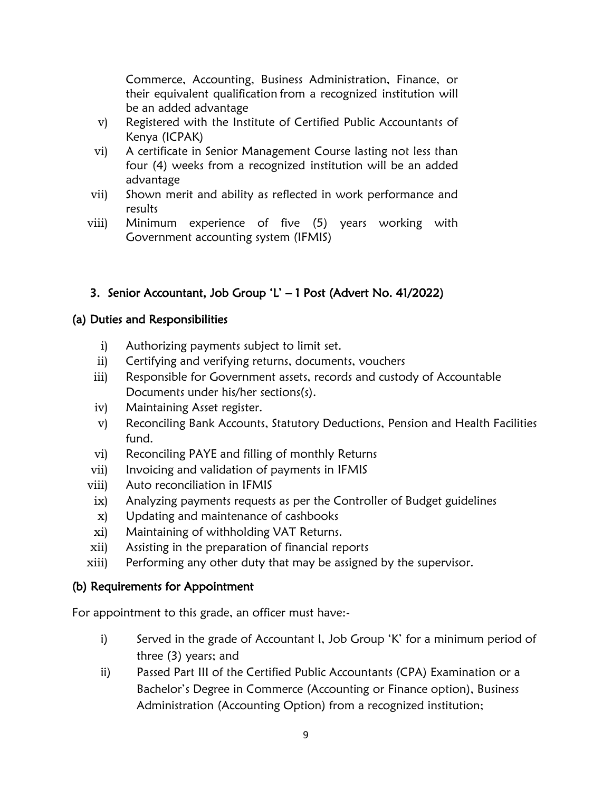Commerce, Accounting, Business Administration, Finance, or their equivalent qualification from a recognized institution will be an added advantage

- v) Registered with the Institute of Certified Public Accountants of Kenya (ICPAK)
- vi) A certificate in Senior Management Course lasting not less than four (4) weeks from a recognized institution will be an added advantage
- vii) Shown merit and ability as reflected in work performance and results
- viii) Minimum experience of five (5) years working with Government accounting system (IFMIS)

# 3. Senior Accountant, Job Group 'L' – 1 Post (Advert No. 41/2022)

# (a) Duties and Responsibilities

- i) Authorizing payments subject to limit set.
- ii) Certifying and verifying returns, documents, vouchers
- iii) Responsible for Government assets, records and custody of Accountable Documents under his/her sections(s).
- iv) Maintaining Asset register.
- v) Reconciling Bank Accounts, Statutory Deductions, Pension and Health Facilities fund.
- vi) Reconciling PAYE and filling of monthly Returns
- vii) Invoicing and validation of payments in IFMIS
- viii) Auto reconciliation in IFMIS
- ix) Analyzing payments requests as per the Controller of Budget guidelines
- x) Updating and maintenance of cashbooks
- xi) Maintaining of withholding VAT Returns.
- xii) Assisting in the preparation of financial reports
- xiii) Performing any other duty that may be assigned by the supervisor.

# (b) Requirements for Appointment

For appointment to this grade, an officer must have:-

- i) Served in the grade of Accountant I, Job Group 'K' for a minimum period of three (3) years; and
- ii) Passed Part III of the Certified Public Accountants (CPA) Examination or a Bachelor's Degree in Commerce (Accounting or Finance option), Business Administration (Accounting Option) from a recognized institution;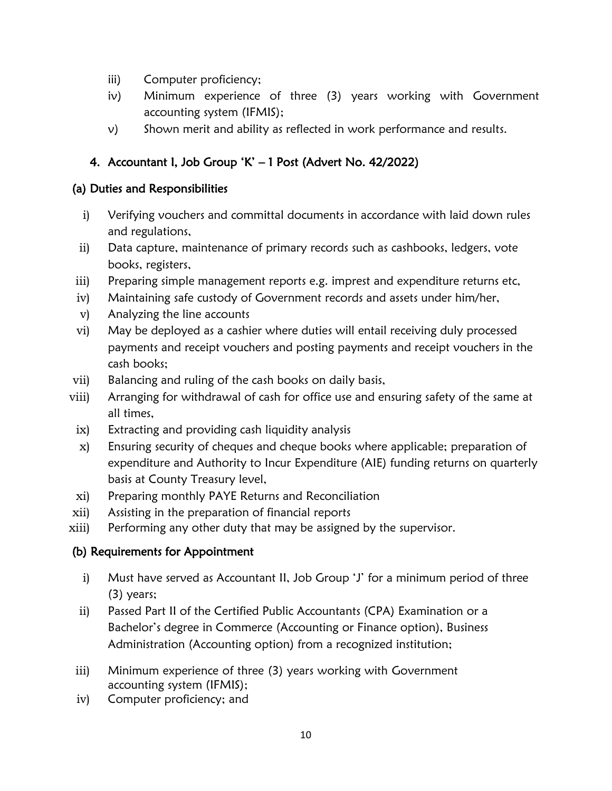- iii) Computer proficiency;
- iv) Minimum experience of three (3) years working with Government accounting system (IFMIS);
- v) Shown merit and ability as reflected in work performance and results.

# 4. Accountant I, Job Group 'K' – 1 Post (Advert No. 42/2022)

#### (a) Duties and Responsibilities

- i) Verifying vouchers and committal documents in accordance with laid down rules and regulations,
- ii) Data capture, maintenance of primary records such as cashbooks, ledgers, vote books, registers,
- iii) Preparing simple management reports e.g. imprest and expenditure returns etc,
- iv) Maintaining safe custody of Government records and assets under him/her,
- v) Analyzing the line accounts
- vi) May be deployed as a cashier where duties will entail receiving duly processed payments and receipt vouchers and posting payments and receipt vouchers in the cash books;
- vii) Balancing and ruling of the cash books on daily basis,
- viii) Arranging for withdrawal of cash for office use and ensuring safety of the same at all times,
- ix) Extracting and providing cash liquidity analysis
- x) Ensuring security of cheques and cheque books where applicable; preparation of expenditure and Authority to Incur Expenditure (AIE) funding returns on quarterly basis at County Treasury level,
- xi) Preparing monthly PAYE Returns and Reconciliation
- xii) Assisting in the preparation of financial reports
- xiii) Performing any other duty that may be assigned by the supervisor.

#### (b) Requirements for Appointment

- i) Must have served as Accountant II, Job Group 'J' for a minimum period of three (3) years;
- ii) Passed Part II of the Certified Public Accountants (CPA) Examination or a Bachelor's degree in Commerce (Accounting or Finance option), Business Administration (Accounting option) from a recognized institution;
- iii) Minimum experience of three (3) years working with Government accounting system (IFMIS);
- iv) Computer proficiency; and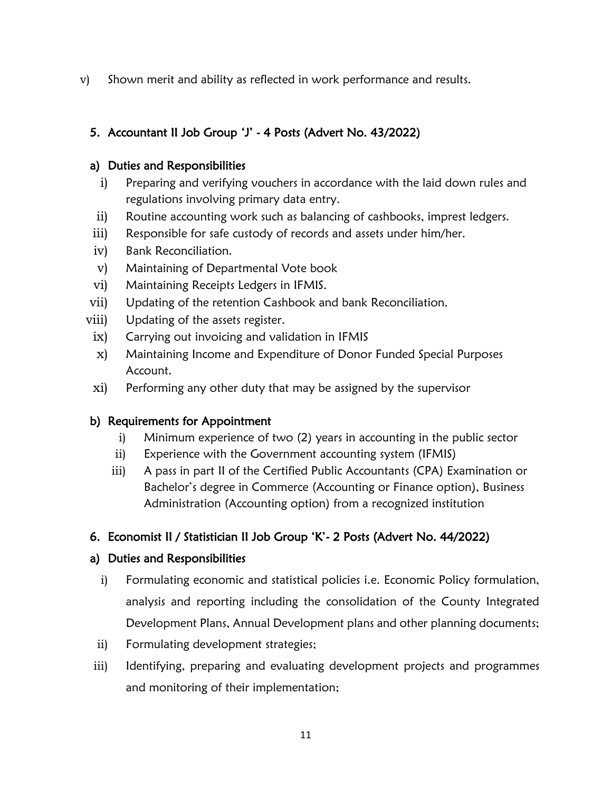v) Shown merit and ability as reflected in work performance and results.

# 5. Accountant II Job Group 'J' - 4 Posts (Advert No. 43/2022)

#### a) Duties and Responsibilities

- i) Preparing and verifying vouchers in accordance with the laid down rules and regulations involving primary data entry.
- ii) Routine accounting work such as balancing of cashbooks, imprest ledgers.
- iii) Responsible for safe custody of records and assets under him/her.
- iv) Bank Reconciliation.
- v) Maintaining of Departmental Vote book
- vi) Maintaining Receipts Ledgers in IFMIS.
- vii) Updating of the retention Cashbook and bank Reconciliation.
- viii) Updating of the assets register.
- ix) Carrying out invoicing and validation in IFMIS
- x) Maintaining Income and Expenditure of Donor Funded Special Purposes Account.
- xi) Performing any other duty that may be assigned by the supervisor

# b) Requirements for Appointment

- i) Minimum experience of two (2) years in accounting in the public sector
- ii) Experience with the Government accounting system (IFMIS)
- iii) A pass in part II of the Certified Public Accountants (CPA) Examination or Bachelor's degree in Commerce (Accounting or Finance option), Business Administration (Accounting option) from a recognized institution

# 6. Economist II / Statistician II Job Group 'K'- 2 Posts (Advert No. 44/2022)

# a) Duties and Responsibilities

- i) Formulating economic and statistical policies i.e. Economic Policy formulation, analysis and reporting including the consolidation of the County Integrated Development Plans, Annual Development plans and other planning documents;
- ii) Formulating development strategies;
- iii) Identifying, preparing and evaluating development projects and programmes and monitoring of their implementation;